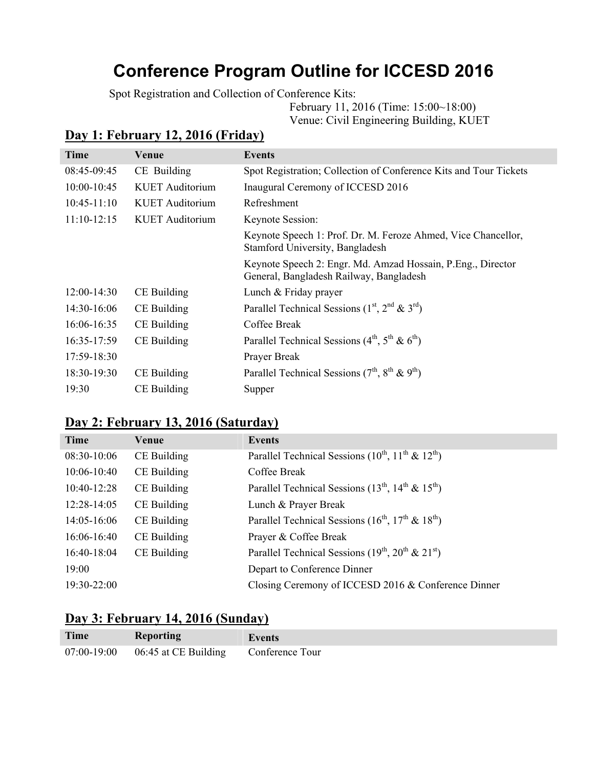# **Conference Program Outline for ICCESD 2016**

Spot Registration and Collection of Conference Kits:

February 11, 2016 (Time: 15:00~18:00)

Venue: Civil Engineering Building, KUET

# **Day 1: February 12, 2016 (Friday)**

| Time            | Venue                  | Events                                                                                                  |
|-----------------|------------------------|---------------------------------------------------------------------------------------------------------|
| $08:45-09:45$   | CE Building            | Spot Registration; Collection of Conference Kits and Tour Tickets                                       |
| $10:00 - 10:45$ | <b>KUET</b> Auditorium | Inaugural Ceremony of ICCESD 2016                                                                       |
| $10:45-11:10$   | KUET Auditorium        | Refreshment                                                                                             |
| $11:10-12:15$   | KUET Auditorium        | Keynote Session:                                                                                        |
|                 |                        | Keynote Speech 1: Prof. Dr. M. Feroze Ahmed, Vice Chancellor,<br>Stamford University, Bangladesh        |
|                 |                        | Keynote Speech 2: Engr. Md. Amzad Hossain, P. Eng., Director<br>General, Bangladesh Railway, Bangladesh |
| $12:00-14:30$   | CE Building            | Lunch & Friday prayer                                                                                   |
| $14:30-16:06$   | CE Building            | Parallel Technical Sessions $(1st, 2nd \& 3rd)$                                                         |
| $16:06 - 16:35$ | CE Building            | Coffee Break                                                                                            |
| $16:35-17:59$   | CE Building            | Parallel Technical Sessions $(4th, 5th \& 6th)$                                                         |
| $17:59-18:30$   |                        | Prayer Break                                                                                            |
| $18:30-19:30$   | CE Building            | Parallel Technical Sessions $(7th, 8th \& 9th)$                                                         |
| 19:30           | CE Building            | Supper                                                                                                  |
|                 |                        |                                                                                                         |

### **Day 2: February 13, 2016 (Saturday)**

| Time            | Venue       | <b>Events</b>                                               |
|-----------------|-------------|-------------------------------------------------------------|
| 08:30-10:06     | CE Building | Parallel Technical Sessions $(10^{th}, 11^{th} \& 12^{th})$ |
| $10:06 - 10:40$ | CE Building | Coffee Break                                                |
| $10:40-12:28$   | CE Building | Parallel Technical Sessions $(13th, 14th \& 15th)$          |
| $12:28-14:05$   | CE Building | Lunch & Prayer Break                                        |
| $14:05-16:06$   | CE Building | Parallel Technical Sessions $(16th, 17th \& 18th)$          |
| $16:06-16:40$   | CE Building | Prayer & Coffee Break                                       |
| 16:40-18:04     | CE Building | Parallel Technical Sessions $(19^{th}, 20^{th} \& 21^{st})$ |
| 19:00           |             | Depart to Conference Dinner                                 |
| 19:30-22:00     |             | Closing Ceremony of ICCESD 2016 & Conference Dinner         |

#### **Day 3: February 14, 2016 (Sunday)**

| <b>Time</b> | <b>Reporting</b>                                       | Events |
|-------------|--------------------------------------------------------|--------|
|             | 07:00-19:00    06:45 at CE Building    Conference Tour |        |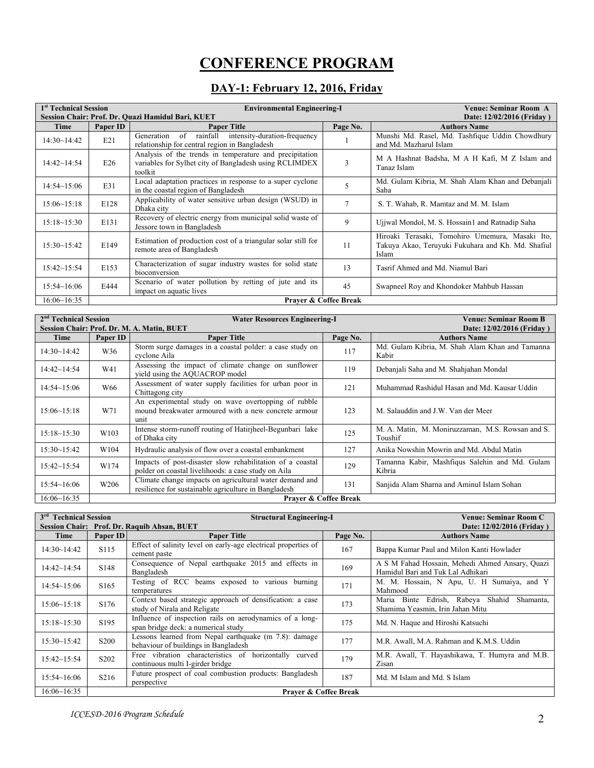# **CONFERENCE PROGRAM**

#### **DAY-1: February 12, 2016, Friday**

| 1 <sup>st</sup> Technical Session |          | <b>Environmental Engineering-I</b><br>Session Chair: Prof. Dr. Quazi Hamidul Bari, KUET                                      | <b>Venue: Seminar Room A</b><br>Date: 12/02/2016 (Friday) |                                                                                                                |
|-----------------------------------|----------|------------------------------------------------------------------------------------------------------------------------------|-----------------------------------------------------------|----------------------------------------------------------------------------------------------------------------|
| Time                              | Paper ID | <b>Paper Title</b>                                                                                                           | Page No.                                                  | <b>Authors Name</b>                                                                                            |
| 14:30~14:42                       | E21      | of<br>rainfall<br>intensity-duration-frequency<br>Generation<br>relationship for central region in Bangladesh                |                                                           | Munshi Md. Rasel, Md. Tashfique Uddin Chowdhury<br>and Md. Mazharul Islam                                      |
| $14:42 \sim 14:54$                | E26      | Analysis of the trends in temperature and precipitation<br>variables for Sylhet city of Bangladesh using RCLIMDEX<br>toolkit | $\overline{3}$                                            | M A Hashnat Badsha, M A H Kafi, M Z Islam and<br>Tanaz Islam                                                   |
| $14:54 \sim 15:06$                | E31      | Local adaptation practices in response to a super cyclone<br>in the coastal region of Bangladesh                             | 5                                                         | Md. Gulam Kibria, M. Shah Alam Khan and Debanjali<br>Saha                                                      |
| 15:06~15:18                       | E128     | Applicability of water sensitive urban design (WSUD) in<br>Dhaka city                                                        | $\overline{7}$                                            | S. T. Wahab, R. Mamtaz and M. M. Islam                                                                         |
| $15:18 \sim 15:30$                | E131     | Recovery of electric energy from municipal solid waste of<br>Jessore town in Bangladesh                                      | 9                                                         | Ujiwal Mondol, M. S. Hossain1 and Ratnadip Saha                                                                |
| 15:30~15:42                       | E149     | Estimation of production cost of a triangular solar still for<br>remote area of Bangladesh                                   | 11                                                        | Hiroaki Terasaki, Tomohiro Umemura, Masaki Ito,<br>Takuya Akao, Teruyuki Fukuhara and Kh. Md. Shafiul<br>Islam |
| $15:42 \sim 15:54$                | E153     | Characterization of sugar industry wastes for solid state<br>bioconversion                                                   | 13                                                        | Tasrif Ahmed and Md. Niamul Bari                                                                               |
| 15:54~16:06                       | E444     | Scenario of water pollution by retting of jute and its<br>impact on aquatic lives                                            | 45                                                        | Swapneel Roy and Khondoker Mahbub Hassan                                                                       |
| 16:06~16:35                       |          | <b>Praver &amp; Coffee Break</b>                                                                                             |                                                           |                                                                                                                |

| 2 <sup>nd</sup> Technical Session |                  | <b>Water Resources Engineering-I</b>                                                                                | Venue: Seminar Room B |                                                             |
|-----------------------------------|------------------|---------------------------------------------------------------------------------------------------------------------|-----------------------|-------------------------------------------------------------|
|                                   |                  | Session Chair: Prof. Dr. M. A. Matin, BUET                                                                          |                       | Date: 12/02/2016 (Friday)                                   |
| Time                              | Paper ID         | <b>Paper Title</b>                                                                                                  | Page No.              | <b>Authors Name</b>                                         |
| 14:30~14:42                       | W36              | Storm surge damages in a coastal polder: a case study on<br>cyclone Aila                                            | 117                   | Md. Gulam Kibria, M. Shah Alam Khan and Tamanna<br>Kabir    |
| $14:42 \sim 14:54$                | W41              | Assessing the impact of climate change on sunflower<br>yield using the AQUACROP model                               | 119                   | Debanjali Saha and M. Shahjahan Mondal                      |
| 14:54~15:06                       | W66              | Assessment of water supply facilities for urban poor in<br>Chittagong city                                          | 121                   | Muhammad Rashidul Hasan and Md. Kausar Uddin                |
| $15:06 \sim 15:18$                | W71              | An experimental study on wave overtopping of rubble<br>mound breakwater armoured with a new concrete armour<br>unit | 123                   | M. Salauddin and J.W. Van der Meer                          |
| $15:18 \sim 15:30$                | W103             | Intense storm-runoff routing of Hatiriheel-Begunbari lake<br>of Dhaka city                                          | 125                   | M. A. Matin, M. Moniruzzaman, M.S. Rowsan and S.<br>Toushif |
| 15:30~15:42                       | W104             | Hydraulic analysis of flow over a coastal embankment                                                                | 127                   | Anika Nowshin Mowrin and Md. Abdul Matin                    |
| $15:42 \sim 15:54$                | W174             | Impacts of post-disaster slow rehabilitation of a coastal<br>polder on coastal livelihoods: a case study on Aila    | 129                   | Tamanna Kabir, Mashfiqus Salehin and Md. Gulam<br>Kibria    |
| 15:54~16:06                       | W <sub>206</sub> | Climate change impacts on agricultural water demand and<br>resilience for sustainable agriculture in Bangladesh     | 131                   | Sanjida Alam Sharna and Aminul Islam Sohan                  |
| 16:06~16:35                       |                  | Praver & Coffee Break                                                                                               |                       |                                                             |

| <b>Technical Session</b><br>3 <sup>rd</sup> |                               | <b>Structural Engineering-I</b>                                                                 |                           | Venue: Seminar Room C                                                                |
|---------------------------------------------|-------------------------------|-------------------------------------------------------------------------------------------------|---------------------------|--------------------------------------------------------------------------------------|
|                                             |                               | Session Chair: Prof. Dr. Raquib Ahsan, BUET                                                     | Date: 12/02/2016 (Friday) |                                                                                      |
| Time                                        | Paper ID                      | <b>Paper Title</b>                                                                              | Page No.                  | <b>Authors Name</b>                                                                  |
| 14:30~14:42                                 | S <sub>115</sub>              | Effect of salinity level on early-age electrical properties of<br>cement paste                  | 167                       | Bappa Kumar Paul and Milon Kanti Howlader                                            |
| $14:42 \sim 14:54$                          | S <sub>148</sub>              | Consequence of Nepal earthquake 2015 and effects in<br>Bangladesh                               | 169                       | A S M Fahad Hossain, Mehedi Ahmed Ansary, Quazi<br>Hamidul Bari and Tuk Lal Adhikari |
| $14:54 \sim 15:06$                          | S <sub>165</sub>              | Testing of RCC beams exposed to various burning<br>temperatures                                 | 171                       | M. M. Hossain, N Apu, U. H Sumaiya, and Y<br>Mahmood                                 |
| 15:06~15:18                                 | S <sub>176</sub>              | Context based strategic approach of densification: a case<br>study of Nirala and Religate       | 173                       | Maria Binte Edrish, Rabeya Shahid<br>Shamanta,<br>Shamima Yeasmin, Irin Jahan Mitu   |
| 15:18~15:30                                 | S195                          | Influence of inspection rails on aerodynamics of a long-<br>span bridge deck: a numerical study | 175                       | Md. N. Haque and Hiroshi Katsuchi                                                    |
| $15:30 \sim 15:42$                          | S <sub>200</sub>              | Lessons learned from Nepal earthquake (m 7.8): damage<br>behaviour of buildings in Bangladesh   | 177                       | M.R. Awall, M.A. Rahman and K.M.S. Uddin                                             |
| $15:42 \sim 15:54$                          | S <sub>2</sub> 0 <sub>2</sub> | Free vibration characteristics of horizontally<br>curved<br>continuous multi I-girder bridge    | 179                       | M.R. Awall, T. Hayashikawa, T. Humyra and M.B.<br>Zisan                              |
| 15:54~16:06                                 | S <sub>2</sub> 16             | Future prospect of coal combustion products: Bangladesh<br>perspective                          | 187                       | Md. M Islam and Md. S Islam                                                          |
| 16:06~16:35                                 |                               | <b>Praver &amp; Coffee Break</b>                                                                |                           |                                                                                      |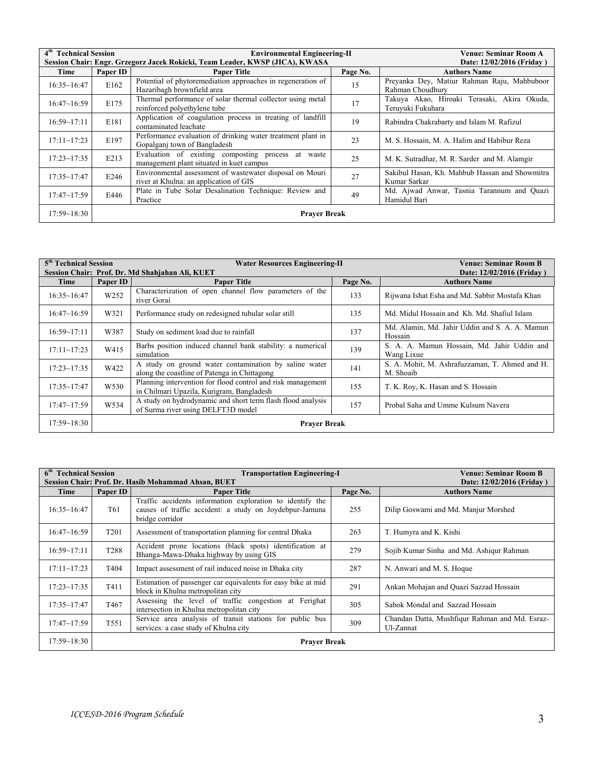| 4 <sup>th</sup> Technical Session |                     | <b>Environmental Engineering-II</b>                                                                |          | Venue: Seminar Room A                                            |
|-----------------------------------|---------------------|----------------------------------------------------------------------------------------------------|----------|------------------------------------------------------------------|
|                                   |                     | Session Chair: Engr. Grzegorz Jacek Rokicki, Team Leader, KWSP (JICA), KWASA                       |          | Date: 12/02/2016 (Friday)                                        |
| Time                              | Paper ID            | <b>Paper Title</b>                                                                                 | Page No. | <b>Authors Name</b>                                              |
| 16:35~16:47                       | E162                | Potential of phytoremediation approaches in regeneration of<br>Hazaribagh brownfield area          | 15       | Preyanka Dey, Matiur Rahman Raju, Mahbuboor<br>Rahman Choudhury  |
| 16:47~16:59                       | E175                | Thermal performance of solar thermal collector using metal<br>reinforced polyethylene tube         | 17       | Takuya Akao, Hiroaki Terasaki, Akira Okuda,<br>Teruyuki Fukuhara |
| 16:59~17:11                       | E181                | Application of coagulation process in treating of landfill<br>contaminated leachate                | 19       | Rabindra Chakrabarty and Islam M. Rafizul                        |
| $17:11 \sim 17:23$                | E197                | Performance evaluation of drinking water treatment plant in<br>Gopalganj town of Bangladesh        | 23       | M. S. Hossain, M. A. Halim and Habibur Reza                      |
| $17:23 - 17:35$                   | E213                | Evaluation of existing composting process at waste<br>management plant situated in kuet campus     | 25       | M. K. Sutradhar, M. R. Sarder and M. Alamgir                     |
| $17:35 \sim 17:47$                | E246                | Environmental assessment of wastewater disposal on Mouri<br>river at Khulna: an application of GIS | 27       | Sakibul Hasan, Kh. Mahbub Hassan and Showmitra<br>Kumar Sarkar   |
| $17:47 \sim 17:59$                | E446                | Plate in Tube Solar Desalination Technique: Review and<br>Practice                                 | 49       | Md. Ajwad Anwar, Tasnia Tarannum and Quazi<br>Hamidul Bari       |
| 17:59~18:30                       | <b>Prayer Break</b> |                                                                                                    |          |                                                                  |

| 5 <sup>th</sup> Technical Session<br><b>Water Resources Engineering-II</b> |                     |                                                                                                          | <b>Venue: Seminar Room B</b> |                                                             |  |
|----------------------------------------------------------------------------|---------------------|----------------------------------------------------------------------------------------------------------|------------------------------|-------------------------------------------------------------|--|
|                                                                            |                     | Session Chair: Prof. Dr. Md Shahjahan Ali, KUET                                                          |                              | Date: 12/02/2016 (Friday)                                   |  |
| Time                                                                       | Paper ID            | <b>Paper Title</b>                                                                                       | Page No.                     | <b>Authors Name</b>                                         |  |
| 16:35~16:47                                                                | W252                | Characterization of open channel flow parameters of the<br>river Gorai                                   | 133                          | Rijwana Ishat Esha and Md. Sabbir Mostafa Khan              |  |
| 16:47~16:59                                                                | W321                | Performance study on redesigned tubular solar still                                                      | 135                          | Md. Midul Hossain and Kh. Md. Shafiul Islam                 |  |
| 16:59~17:11                                                                | W387                | Study on sediment load due to rainfall                                                                   | 137                          | Md. Alamin, Md. Jahir Uddin and S. A. A. Mamun<br>Hossain   |  |
| $17:11 - 17:23$                                                            | W415                | Barbs position induced channel bank stability: a numerical<br>simulation                                 | 139                          | S. A. A. Mamun Hossain, Md. Jahir Uddin and<br>Wang Lixue   |  |
| $17:23 - 17:35$                                                            | W422                | A study on ground water contamination by saline water<br>along the coastline of Patenga in Chittagong    | 141                          | S. A. Mohit, M. Ashrafuzzaman, T. Ahmed and H.<br>M. Shoaib |  |
| $17:35 \sim 17:47$                                                         | W <sub>530</sub>    | Planning intervention for flood control and risk management<br>in Chilmari Upazila, Kurigram, Bangladesh | 155                          | T. K. Roy, K. Hasan and S. Hossain                          |  |
| $17:47 - 17:59$                                                            | W534                | A study on hydrodynamic and short term flash flood analysis<br>of Surma river using DELFT3D model        | 157                          | Probal Saha and Umme Kulsum Navera                          |  |
| $17:59 - 18:30$                                                            | <b>Praver Break</b> |                                                                                                          |                              |                                                             |  |

| <b>Technical Session</b><br>6 <sup>th</sup><br><b>Transportation Engineering-I</b> |                     |                                                                                                                                         | <b>Venue: Seminar Room B</b> |                                                             |
|------------------------------------------------------------------------------------|---------------------|-----------------------------------------------------------------------------------------------------------------------------------------|------------------------------|-------------------------------------------------------------|
|                                                                                    |                     | Session Chair: Prof. Dr. Hasib Mohammad Ahsan, BUET                                                                                     |                              | Date: 12/02/2016 (Friday)                                   |
| Time                                                                               | Paper ID            | <b>Paper Title</b>                                                                                                                      | Page No.                     | <b>Authors Name</b>                                         |
| 16:35~16:47                                                                        | T61                 | Traffic accidents information exploration to identify the<br>causes of traffic accident: a study on Joydebpur-Jamuna<br>bridge corridor | 255                          | Dilip Goswami and Md. Manjur Morshed                        |
| 16:47~16:59                                                                        | T <sub>201</sub>    | Assessment of transportation planning for central Dhaka                                                                                 | 263                          | T. Humyra and K. Kishi                                      |
| 16:59~17:11                                                                        | T <sub>288</sub>    | Accident prone locations (black spots) identification at<br>Bhanga-Mawa-Dhaka highway by using GIS                                      | 279                          | Sojib Kumar Sinha and Md. Ashigur Rahman                    |
| $17:11 \sim 17:23$                                                                 | T404                | Impact assessment of rail induced noise in Dhaka city                                                                                   | 287                          | N. Anwari and M. S. Hoque                                   |
| $17:23 - 17:35$                                                                    | T411                | Estimation of passenger car equivalents for easy bike at mid<br>block in Khulna metropolitan city                                       | 291                          | Ankan Mohajan and Quazi Sazzad Hossain                      |
| $17:35 \sim 17:47$                                                                 | T <sub>467</sub>    | Assessing the level of traffic congestion at Ferighat<br>intersection in Khulna metropolitan city                                       | 305                          | Sabok Mondal and Sazzad Hossain                             |
| $17:47 - 17:59$                                                                    | T <sub>551</sub>    | Service area analysis of transit stations for public bus<br>services: a case study of Khulna city                                       | 309                          | Chandan Datta, Mushfigur Rahman and Md. Esraz-<br>Ul-Zannat |
| $17:59 - 18:30$                                                                    | <b>Prayer Break</b> |                                                                                                                                         |                              |                                                             |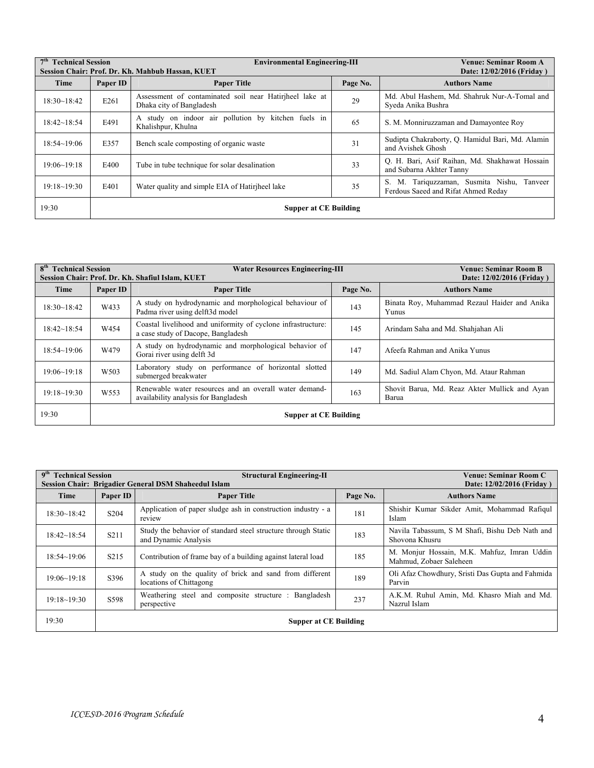| 7 <sup>th</sup> Technical Session<br>Session Chair: Prof. Dr. Kh. Mahbub Hassan, KUET |                              | <b>Environmental Engineering-III</b>                                                |          | Venue: Seminar Room A<br>Date: 12/02/2016 (Friday)                                   |
|---------------------------------------------------------------------------------------|------------------------------|-------------------------------------------------------------------------------------|----------|--------------------------------------------------------------------------------------|
| Time                                                                                  | Paper ID                     | <b>Paper Title</b>                                                                  | Page No. | <b>Authors Name</b>                                                                  |
| $18:30 - 18:42$                                                                       | E261                         | Assessment of contaminated soil near Hatiriheel lake at<br>Dhaka city of Bangladesh | 29       | Md. Abul Hashem, Md. Shahruk Nur-A-Tomal and<br>Syeda Anika Bushra                   |
| 18:42~18:54                                                                           | E491                         | A study on indoor air pollution by kitchen fuels in<br>Khalishpur, Khulna           | 65       | S. M. Monniruzzaman and Damayontee Roy                                               |
| 18:54~19:06                                                                           | E357                         | Bench scale composting of organic waste                                             | 31       | Sudipta Chakraborty, Q. Hamidul Bari, Md. Alamin<br>and Avishek Ghosh                |
| $19:06 - 19:18$                                                                       | E400                         | Tube in tube technique for solar desalination                                       | 33       | O. H. Bari, Asif Raihan, Md. Shakhawat Hossain<br>and Subarna Akhter Tanny           |
| 19:18~19:30                                                                           | E401                         | Water quality and simple EIA of Hatiriheel lake                                     | 35       | M. Tariquzzaman, Susmita Nishu, Tanveer<br>S.<br>Ferdous Saeed and Rifat Ahmed Reday |
| 19:30                                                                                 | <b>Supper at CE Building</b> |                                                                                     |          |                                                                                      |

| 8 <sup>th</sup> Technical Session<br>Session Chair: Prof. Dr. Kh. Shafiul Islam, KUET |                  | <b>Water Resources Engineering-III</b>                                                             | Venue: Seminar Room B<br>Date: 12/02/2016 (Friday) |                                                        |
|---------------------------------------------------------------------------------------|------------------|----------------------------------------------------------------------------------------------------|----------------------------------------------------|--------------------------------------------------------|
| Time                                                                                  | Paper ID         | <b>Paper Title</b>                                                                                 | Page No.                                           | <b>Authors Name</b>                                    |
| 18:30~18:42                                                                           | W433             | A study on hydrodynamic and morphological behaviour of<br>Padma river using delft3d model          | 143                                                | Binata Roy, Muhammad Rezaul Haider and Anika<br>Yunus  |
| 18:42~18:54                                                                           | W454             | Coastal livelihood and uniformity of cyclone infrastructure:<br>a case study of Dacope, Bangladesh | 145                                                | Arindam Saha and Md. Shahjahan Ali                     |
| 18:54~19:06                                                                           | W479             | A study on hydrodynamic and morphological behavior of<br>Gorai river using delft 3d                | 147                                                | Afeefa Rahman and Anika Yunus                          |
| 19:06~19:18                                                                           | W <sub>503</sub> | Laboratory study on performance of horizontal slotted<br>submerged breakwater                      | 149                                                | Md. Sadiul Alam Chyon, Md. Ataur Rahman                |
| $19:18 - 19:30$                                                                       | W <sub>553</sub> | Renewable water resources and an overall water demand-<br>availability analysis for Bangladesh     | 163                                                | Shovit Barua, Md. Reaz Akter Mullick and Ayan<br>Barua |
| 19:30                                                                                 |                  | <b>Supper at CE Building</b>                                                                       |                                                    |                                                        |

| 9 <sup>th</sup><br><b>Technical Session</b><br>Session Chair: Brigadier General DSM Shaheedul Islam |                   | <b>Structural Engineering-II</b>                                                      |          | <b>Venue: Seminar Room C</b><br>Date: 12/02/2016 (Friday)              |
|-----------------------------------------------------------------------------------------------------|-------------------|---------------------------------------------------------------------------------------|----------|------------------------------------------------------------------------|
| Time                                                                                                | Paper ID          | <b>Paper Title</b>                                                                    | Page No. | <b>Authors Name</b>                                                    |
| 18:30~18:42                                                                                         | S <sub>204</sub>  | Application of paper sludge ash in construction industry - a<br>review                | 181      | Shishir Kumar Sikder Amit, Mohammad Rafigul<br>Islam                   |
| 18:42~18:54                                                                                         | S <sub>2</sub> 11 | Study the behavior of standard steel structure through Static<br>and Dynamic Analysis | 183      | Navila Tabassum, S M Shafi, Bishu Deb Nath and<br>Shovona Khusru       |
| 18:54~19:06                                                                                         | S <sub>2</sub> 15 | Contribution of frame bay of a building against lateral load                          | 185      | M. Monjur Hossain, M.K. Mahfuz, Imran Uddin<br>Mahmud, Zobaer Saleheen |
| 19:06~19:18                                                                                         | S396              | A study on the quality of brick and sand from different<br>locations of Chittagong    | 189      | Oli Afaz Chowdhury, Sristi Das Gupta and Fahmida<br>Parvin             |
| 19:18~19:30                                                                                         | S598              | Weathering steel and composite structure : Bangladesh<br>perspective                  | 237      | A.K.M. Ruhul Amin, Md. Khasro Miah and Md.<br>Nazrul Islam             |
| 19:30                                                                                               |                   | <b>Supper at CE Building</b>                                                          |          |                                                                        |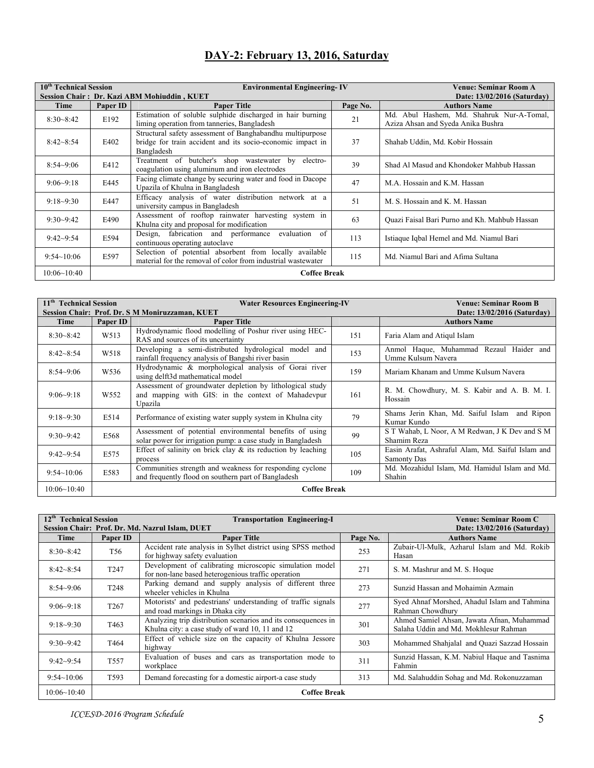## **DAY-2: February 13, 2016, Saturday**

| 10 <sup>th</sup> Technical Session |          | <b>Environmental Engineering-IV</b>                                                                                                   |          | Venue: Seminar Room A                                                           |
|------------------------------------|----------|---------------------------------------------------------------------------------------------------------------------------------------|----------|---------------------------------------------------------------------------------|
|                                    |          | Session Chair: Dr. Kazi ABM Mohiuddin, KUET                                                                                           |          |                                                                                 |
| Time                               | Paper ID | <b>Paper Title</b>                                                                                                                    | Page No. | <b>Authors Name</b>                                                             |
| $8:30 - 8:42$                      | E192     | Estimation of soluble sulphide discharged in hair burning<br>liming operation from tanneries, Bangladesh                              | 21       | Md. Abul Hashem, Md. Shahruk Nur-A-Tomal,<br>Aziza Ahsan and Syeda Anika Bushra |
| $8:42 - 8:54$                      | E402     | Structural safety assessment of Banghabandhu multipurpose<br>bridge for train accident and its socio-economic impact in<br>Bangladesh | 37       | Shahab Uddin, Md. Kobir Hossain                                                 |
| $8:54 - 9:06$                      | E412     | Treatment of butcher's shop wastewater by<br>electro-<br>coagulation using aluminum and iron electrodes                               | 39       | Shad Al Masud and Khondoker Mahbub Hassan                                       |
| $9:06 - 9:18$                      | E445     | Facing climate change by securing water and food in Dacope<br>Upazila of Khulna in Bangladesh                                         | 47       | M.A. Hossain and K.M. Hassan                                                    |
| $9:18-9:30$                        | E447     | Efficacy analysis of water distribution network at a<br>university campus in Bangladesh                                               | 51       | M. S. Hossain and K. M. Hassan                                                  |
| $9:30 - 9:42$                      | E490     | Assessment of rooftop rainwater harvesting system in<br>Khulna city and proposal for modification                                     | 63       | Quazi Faisal Bari Purno and Kh. Mahbub Hassan                                   |
| $9:42 - 9:54$                      | E594     | Design, fabrication and performance evaluation<br>of<br>continuous operating autoclave                                                | 113      | Istiaque Iqbal Hemel and Md. Niamul Bari                                        |
| 9:54~10:06                         | E597     | Selection of potential absorbent from locally available<br>material for the removal of color from industrial wastewater               | 115      | Md. Niamul Bari and Afima Sultana                                               |
| 10:06~10:40                        |          | <b>Coffee Break</b>                                                                                                                   |          |                                                                                 |

| 11 <sup>th</sup> Technical Session              |                   | <b>Water Resources Engineering-IV</b>                                                                                      |     | Venue: Seminar Room B                                            |
|-------------------------------------------------|-------------------|----------------------------------------------------------------------------------------------------------------------------|-----|------------------------------------------------------------------|
| Session Chair: Prof. Dr. S M Moniruzzaman, KUET |                   | Date: 13/02/2016 (Saturday)                                                                                                |     |                                                                  |
| Time                                            | Paper ID          | <b>Paper Title</b>                                                                                                         |     | <b>Authors Name</b>                                              |
| $8:30 - 8:42$                                   | W <sub>5</sub> 13 | Hydrodynamic flood modelling of Poshur river using HEC-<br>RAS and sources of its uncertainty                              | 151 | Faria Alam and Atiqul Islam                                      |
| $8:42 - 8:54$                                   | W518              | Developing a semi-distributed hydrological model and<br>rainfall frequency analysis of Bangshi river basin                 | 153 | Anmol Haque, Muhammad Rezaul Haider and<br>Umme Kulsum Navera    |
| $8:54-9:06$                                     | W536              | Hydrodynamic & morphological analysis of Gorai river<br>using delft3d mathematical model                                   | 159 | Mariam Khanam and Umme Kulsum Navera                             |
| $9:06 - 9:18$                                   | W <sub>552</sub>  | Assessment of groundwater depletion by lithological study<br>and mapping with GIS: in the context of Mahadevpur<br>Upazila | 161 | R. M. Chowdhury, M. S. Kabir and A. B. M. I.<br>Hossain          |
| $9:18-9:30$                                     | E514              | Performance of existing water supply system in Khulna city                                                                 | 79  | Shams Jerin Khan, Md. Saiful Islam<br>and Ripon<br>Kumar Kundo   |
| $9:30-9:42$                                     | E568              | Assessment of potential environmental benefits of using<br>solar power for irrigation pump: a case study in Bangladesh     | 99  | S T Wahab, L Noor, A M Redwan, J K Dev and S M<br>Shamim Reza    |
| $9:42 - 9:54$                                   | E575              | Effect of salinity on brick clay $\&$ its reduction by leaching<br>process                                                 | 105 | Easin Arafat, Ashraful Alam, Md. Saiful Islam and<br>Samonty Das |
| 9:54~10:06                                      | E583              | Communities strength and weakness for responding cyclone<br>and frequently flood on southern part of Bangladesh            | 109 | Md. Mozahidul Islam, Md. Hamidul Islam and Md.<br>Shahin         |
| 10:06~10:40                                     |                   | <b>Coffee Break</b>                                                                                                        |     |                                                                  |

| $12^{\text{th}}$<br><b>Technical Session</b> |                  | <b>Transportation Engineering-I</b>                                                                              |          | <b>Venue: Seminar Room C</b>                                                        |
|----------------------------------------------|------------------|------------------------------------------------------------------------------------------------------------------|----------|-------------------------------------------------------------------------------------|
|                                              |                  | Session Chair: Prof. Dr. Md. Nazrul Islam, DUET                                                                  |          | Date: 13/02/2016 (Saturday)                                                         |
| Time                                         | Paper ID         | <b>Paper Title</b>                                                                                               | Page No. | <b>Authors Name</b>                                                                 |
| $8:30 - 8:42$                                | T <sub>56</sub>  | Accident rate analysis in Sylhet district using SPSS method<br>for highway safety evaluation                     | 253      | Zubair-Ul-Mulk, Azharul Islam and Md. Rokib<br>Hasan                                |
|                                              |                  |                                                                                                                  |          |                                                                                     |
| $8:42 - 8:54$                                | T <sub>247</sub> | Development of calibrating microscopic simulation model<br>for non-lane based heterogenious traffic operation    | 271      | S. M. Mashrur and M. S. Hoque                                                       |
| $8:54 - 9:06$                                | T <sub>248</sub> | Parking demand and supply analysis of different three<br>wheeler vehicles in Khulna                              | 273      | Sunzid Hassan and Mohaimin Azmain                                                   |
| $9:06 - 9:18$                                | T <sub>267</sub> | Motorists' and pedestrians' understanding of traffic signals<br>and road markings in Dhaka city                  | 277      | Syed Ahnaf Morshed, Ahadul Islam and Tahmina<br>Rahman Chowdhury                    |
| $9:18-9:30$                                  | T <sub>463</sub> | Analyzing trip distribution scenarios and its consequences in<br>Khulna city: a case study of ward 10, 11 and 12 | 301      | Ahmed Samiel Ahsan, Jawata Afnan, Muhammad<br>Salaha Uddin and Md. Mokhlesur Rahman |
| $9:30 - 9:42$                                | T464             | Effect of vehicle size on the capacity of Khulna Jessore<br>highway                                              | 303      | Mohammed Shahjalal and Quazi Sazzad Hossain                                         |
| $9:42 - 9:54$                                | T <sub>557</sub> | Evaluation of buses and cars as transportation mode to<br>workplace                                              | 311      | Sunzid Hassan, K.M. Nabiul Haque and Tasnima<br>Fahmin                              |
| 9:54~10:06                                   | T <sub>593</sub> | Demand forecasting for a domestic airport-a case study                                                           | 313      | Md. Salahuddin Sohag and Md. Rokonuzzaman                                           |
| 10:06~10:40                                  |                  | <b>Coffee Break</b>                                                                                              |          |                                                                                     |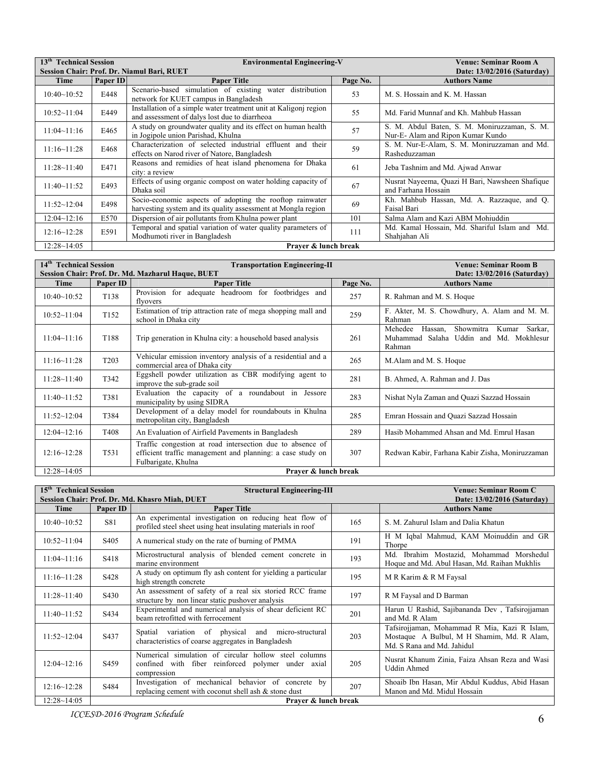| $13^{\text{th}}$<br><b>Technical Session</b><br><b>Environmental Engineering-V</b><br><b>Venue: Seminar Room A</b> |                                            |                                                                                                                           |          |                                                                                  |  |  |
|--------------------------------------------------------------------------------------------------------------------|--------------------------------------------|---------------------------------------------------------------------------------------------------------------------------|----------|----------------------------------------------------------------------------------|--|--|
|                                                                                                                    | Session Chair: Prof. Dr. Niamul Bari, RUET |                                                                                                                           |          |                                                                                  |  |  |
| Time                                                                                                               | Paper ID                                   | <b>Paper Title</b>                                                                                                        | Page No. | <b>Authors Name</b>                                                              |  |  |
| 10:40~10:52                                                                                                        | E448                                       | Scenario-based simulation of existing water distribution<br>network for KUET campus in Bangladesh                         | 53       | M. S. Hossain and K. M. Hassan                                                   |  |  |
| 10:52~11:04                                                                                                        | E449                                       | Installation of a simple water treatment unit at Kaligoni region<br>and assessment of dalys lost due to diarrheoa         | 55       | Md. Farid Munnaf and Kh. Mahbub Hassan                                           |  |  |
| $11:04 \sim 11:16$                                                                                                 | E465                                       | A study on groundwater quality and its effect on human health<br>in Jogipole union Parishad, Khulna                       | 57       | S. M. Abdul Baten, S. M. Moniruzzaman, S. M.<br>Nur-E-Alam and Ripon Kumar Kundo |  |  |
| 11:16~11:28                                                                                                        | E468                                       | Characterization of selected industrial effluent and their<br>effects on Narod river of Natore, Bangladesh                | 59       | S. M. Nur-E-Alam, S. M. Moniruzzaman and Md.<br>Rasheduzzaman                    |  |  |
| $11:28 \sim 11:40$                                                                                                 | E471                                       | Reasons and remidies of heat island phenomena for Dhaka<br>city: a review                                                 | 61       | Jeba Tashnim and Md. Ajwad Anwar                                                 |  |  |
| $11:40 \sim 11:52$                                                                                                 | E493                                       | Effects of using organic compost on water holding capacity of<br>Dhaka soil                                               | 67       | Nusrat Nayeema, Quazi H Bari, Nawsheen Shafique<br>and Farhana Hossain           |  |  |
| 11:52~12:04                                                                                                        | E498                                       | Socio-economic aspects of adopting the rooftop rainwater<br>harvesting system and its quality assessment at Mongla region | 69       | Kh. Mahbub Hassan, Md. A. Razzague, and Q.<br>Faisal Bari                        |  |  |
| 12:04~12:16                                                                                                        | E570                                       | Dispersion of air pollutants from Khulna power plant                                                                      | 101      | Salma Alam and Kazi ABM Mohiuddin                                                |  |  |
| $12:16 \sim 12:28$                                                                                                 | E591                                       | Temporal and spatial variation of water quality parameters of<br>Modhumoti river in Bangladesh                            | 111      | Md. Kamal Hossain, Md. Shariful Islam and Md.<br>Shahjahan Ali                   |  |  |
| 12:28~14:05                                                                                                        |                                            | Praver & lunch break                                                                                                      |          |                                                                                  |  |  |

| 14 <sup>th</sup> Technical Session |                  | <b>Transportation Engineering-II</b>                                                                                                           |          | Venue: Seminar Room B                                                                                    |
|------------------------------------|------------------|------------------------------------------------------------------------------------------------------------------------------------------------|----------|----------------------------------------------------------------------------------------------------------|
|                                    |                  | Session Chair: Prof. Dr. Md. Mazharul Haque, BUET                                                                                              |          | Date: 13/02/2016 (Saturday)                                                                              |
| Time                               | Paper ID         | <b>Paper Title</b>                                                                                                                             | Page No. | <b>Authors Name</b>                                                                                      |
| 10:40~10:52                        | T138             | Provision for adequate headroom for footbridges and<br>flyovers                                                                                | 257      | R. Rahman and M. S. Hoque                                                                                |
| 10:52~11:04                        | T <sub>152</sub> | Estimation of trip attraction rate of mega shopping mall and<br>school in Dhaka city                                                           | 259      | F. Akter, M. S. Chowdhury, A. Alam and M. M.<br>Rahman                                                   |
| $11:04 \sim 11:16$                 | T188             | Trip generation in Khulna city: a household based analysis                                                                                     | 261      | Mehedee<br>Showmitra<br>Hassan,<br>Kumar<br>Sarkar,<br>Muhammad Salaha Uddin and Md. Mokhlesur<br>Rahman |
| 11:16~11:28                        | T <sub>203</sub> | Vehicular emission inventory analysis of a residential and a<br>commercial area of Dhaka city                                                  | 265      | M.Alam and M. S. Hoque                                                                                   |
| 11:28~11:40                        | T342             | Eggshell powder utilization as CBR modifying agent to<br>improve the sub-grade soil                                                            | 281      | B. Ahmed, A. Rahman and J. Das                                                                           |
| $11:40 \sim 11:52$                 | T381             | Evaluation the capacity of a roundabout in Jessore<br>municipality by using SIDRA                                                              | 283      | Nishat Nyla Zaman and Quazi Sazzad Hossain                                                               |
| 11:52~12:04                        | T384             | Development of a delay model for roundabouts in Khulna<br>metropolitan city, Bangladesh                                                        | 285      | Emran Hossain and Quazi Sazzad Hossain                                                                   |
| 12:04~12:16                        | T408             | An Evaluation of Airfield Pavements in Bangladesh                                                                                              | 289      | Hasib Mohammed Ahsan and Md. Emrul Hasan                                                                 |
| 12:16~12:28                        | T531             | Traffic congestion at road intersection due to absence of<br>efficient traffic management and planning: a case study on<br>Fulbarigate, Khulna | 307      | Redwan Kabir, Farhana Kabir Zisha, Moniruzzaman                                                          |
| $12:28 - 14:05$                    |                  | Praver & lunch break                                                                                                                           |          |                                                                                                          |

| 15 <sup>th</sup> Technical Session<br>Session Chair: Prof. Dr. Md. Khasro Miah, DUET |                   | <b>Structural Engineering-III</b>                                                                                          |     | Venue: Seminar Room C<br>Date: 13/02/2016 (Saturday)                                                                     |
|--------------------------------------------------------------------------------------|-------------------|----------------------------------------------------------------------------------------------------------------------------|-----|--------------------------------------------------------------------------------------------------------------------------|
| Time                                                                                 | Paper ID          | <b>Paper Title</b>                                                                                                         |     | <b>Authors Name</b>                                                                                                      |
| 10:40~10:52                                                                          | S81               | An experimental investigation on reducing heat flow of<br>profiled steel sheet using heat insulating materials in roof     | 165 | S. M. Zahurul Islam and Dalia Khatun                                                                                     |
| 10:52~11:04                                                                          | S <sub>405</sub>  | A numerical study on the rate of burning of PMMA                                                                           | 191 | H M Igbal Mahmud, KAM Moinuddin and GR<br>Thorpe                                                                         |
| 11:04~11:16                                                                          | S418              | Microstructural analysis of blended cement concrete in<br>marine environment                                               | 193 | Md. Ibrahim Mostazid, Mohammad Morshedul<br>Hoque and Md. Abul Hasan, Md. Raihan Mukhlis                                 |
| 11:16~11:28                                                                          | S428              | A study on optimum fly ash content for yielding a particular<br>high strength concrete                                     | 195 | M R Karim & R M Faysal                                                                                                   |
| $11:28 \sim 11:40$                                                                   | S <sub>4</sub> 30 | An assessment of safety of a real six storied RCC frame<br>structure by non linear static pushover analysis                | 197 | R M Faysal and D Barman                                                                                                  |
| $11:40 \sim 11:52$                                                                   | S434              | Experimental and numerical analysis of shear deficient RC<br>beam retrofitted with ferrocement                             | 201 | Harun U Rashid, Sajibananda Dev, Tafsirojjaman<br>and Md. R Alam                                                         |
| $11:52 \sim 12:04$                                                                   | S437              | Spatial variation of physical and micro-structural<br>characteristics of coarse aggregates in Bangladesh                   | 203 | Tafsirojjaman, Mohammad R Mia, Kazi R Islam,<br>Mostaque A Bulbul, M H Shamim, Md. R Alam,<br>Md. S Rana and Md. Jahidul |
| $12:04 - 12:16$                                                                      | S <sub>459</sub>  | Numerical simulation of circular hollow steel columns<br>confined with fiber reinforced polymer under axial<br>compression | 205 | Nusrat Khanum Zinia, Faiza Ahsan Reza and Wasi<br><b>Uddin Ahmed</b>                                                     |
| 12:16~12:28                                                                          | S484              | Investigation of mechanical behavior of concrete by<br>replacing cement with coconut shell ash & stone dust                | 207 | Shoaib Ibn Hasan, Mir Abdul Kuddus, Abid Hasan<br>Manon and Md. Midul Hossain                                            |
| $12:28 - 14:05$                                                                      |                   | Prayer & lunch break                                                                                                       |     |                                                                                                                          |

*ICCESD-2016 Program Schedule* 6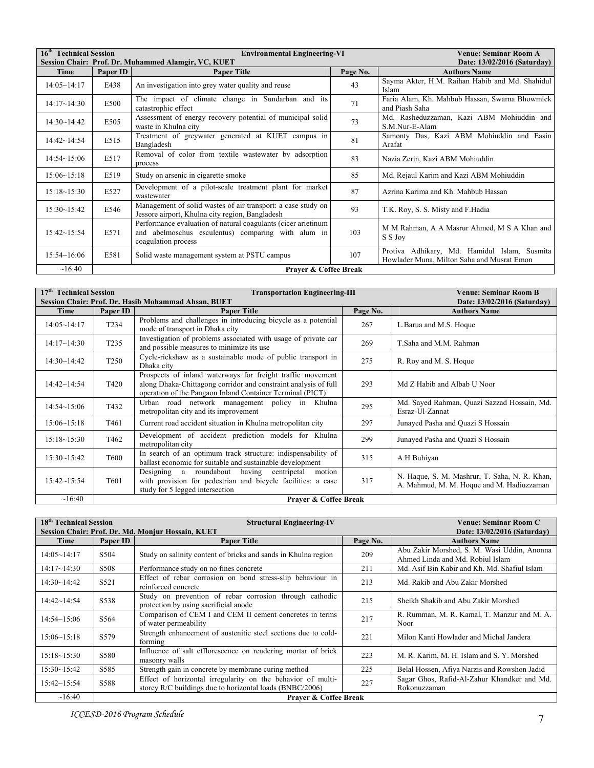|                    | 16 <sup>th</sup> Technical Session<br><b>Environmental Engineering-VI</b><br>Session Chair: Prof. Dr. Muhammed Alamgir, VC, KUET |                                                                                                                                            |          | <b>Venue: Seminar Room A</b>                                                               |
|--------------------|----------------------------------------------------------------------------------------------------------------------------------|--------------------------------------------------------------------------------------------------------------------------------------------|----------|--------------------------------------------------------------------------------------------|
| Time               | Paper ID                                                                                                                         | <b>Paper Title</b>                                                                                                                         | Page No. | Date: 13/02/2016 (Saturday)<br><b>Authors Name</b>                                         |
| $14:05 \sim 14:17$ | E438                                                                                                                             | An investigation into grey water quality and reuse                                                                                         | 43       | Sayma Akter, H.M. Raihan Habib and Md. Shahidul<br>Islam                                   |
| $14:17~-14:30$     | E500                                                                                                                             | The impact of climate change in Sundarban and its<br>catastrophic effect                                                                   | 71       | Faria Alam, Kh. Mahbub Hassan, Swarna Bhowmick<br>and Piash Saha                           |
| 14:30~14:42        | E505                                                                                                                             | Assessment of energy recovery potential of municipal solid<br>waste in Khulna city                                                         | 73       | Md. Rasheduzzaman, Kazi ABM Mohiuddin and<br>S.M.Nur-E-Alam                                |
| $14:42 \sim 14:54$ | E515                                                                                                                             | Treatment of greywater generated at KUET campus in<br>Bangladesh                                                                           | 81       | Samonty Das, Kazi ABM Mohiuddin and Easin<br>Arafat                                        |
| 14:54~15:06        | E517                                                                                                                             | Removal of color from textile wastewater by adsorption<br>process                                                                          | 83       | Nazia Zerin, Kazi ABM Mohiuddin                                                            |
| 15:06~15:18        | E519                                                                                                                             | Study on arsenic in cigarette smoke                                                                                                        | 85       | Md. Rejaul Karim and Kazi ABM Mohiuddin                                                    |
| $15:18 \sim 15:30$ | E527                                                                                                                             | Development of a pilot-scale treatment plant for market<br>wastewater                                                                      | 87       | Azrina Karima and Kh. Mahbub Hassan                                                        |
| $15:30 - 15:42$    | E546                                                                                                                             | Management of solid wastes of air transport: a case study on<br>Jessore airport, Khulna city region, Bangladesh                            | 93       | T.K. Roy, S. S. Misty and F. Hadia                                                         |
| $15:42 \sim 15:54$ | E571                                                                                                                             | Performance evaluation of natural coagulants (cicer arietinum<br>and abelmoschus esculentus) comparing with alum in<br>coagulation process | 103      | M M Rahman, A A Masrur Ahmed, M S A Khan and<br>S S Joy                                    |
| 15:54~16:06        | E581                                                                                                                             | Solid waste management system at PSTU campus                                                                                               | 107      | Protiva Adhikary, Md. Hamidul Islam, Susmita<br>Howlader Muna, Milton Saha and Musrat Emon |
| ~16:40             |                                                                                                                                  | <b>Praver &amp; Coffee Break</b>                                                                                                           |          |                                                                                            |

| 17 <sup>th</sup> Technical Session |                   | <b>Transportation Engineering-III</b>                                                                                                                                                      | <b>Venue: Seminar Room B</b> |                                                                                            |
|------------------------------------|-------------------|--------------------------------------------------------------------------------------------------------------------------------------------------------------------------------------------|------------------------------|--------------------------------------------------------------------------------------------|
|                                    |                   | Session Chair: Prof. Dr. Hasib Mohammad Ahsan, BUET                                                                                                                                        |                              |                                                                                            |
| Time                               | Paper ID          | <b>Paper Title</b>                                                                                                                                                                         | Page No.                     | <b>Authors Name</b>                                                                        |
| 14:05~14:17                        | T <sub>2</sub> 34 | Problems and challenges in introducing bicycle as a potential<br>mode of transport in Dhaka city                                                                                           | 267                          | L.Barua and M.S. Hoque                                                                     |
| 14:17~14:30                        | T <sub>235</sub>  | Investigation of problems associated with usage of private car<br>and possible measures to minimize its use                                                                                | 269                          | T.Saha and M.M. Rahman                                                                     |
| 14:30~14:42                        | T <sub>250</sub>  | Cycle-rickshaw as a sustainable mode of public transport in<br>Dhaka city                                                                                                                  | 275                          | R. Roy and M. S. Hoque                                                                     |
| $14:42 \sim 14:54$                 | T420              | Prospects of inland waterways for freight traffic movement<br>along Dhaka-Chittagong corridor and constraint analysis of full<br>operation of the Pangaon Inland Container Terminal (PICT) | 293                          | Md Z Habib and Albab U Noor                                                                |
| $14:54 \sim 15:06$                 | T432              | Urban road network management policy in Khulna<br>metropolitan city and its improvement                                                                                                    | 295                          | Md. Sayed Rahman, Quazi Sazzad Hossain, Md.<br>Esraz-Ul-Zannat                             |
| 15:06~15:18                        | T <sub>461</sub>  | Current road accident situation in Khulna metropolitan city                                                                                                                                | 297                          | Junayed Pasha and Quazi S Hossain                                                          |
| $15:18 \sim 15:30$                 | T <sub>462</sub>  | Development of accident prediction models for Khulna<br>metropolitan city                                                                                                                  | 299                          | Junayed Pasha and Quazi S Hossain                                                          |
| $15:30 \sim 15:42$                 | T600              | In search of an optimum track structure: indispensability of<br>ballast economic for suitable and sustainable development                                                                  | 315                          | A H Buhiyan                                                                                |
| $15:42 \sim 15:54$                 | T <sub>601</sub>  | Designing a roundabout having centripetal<br>motion<br>with provision for pedestrian and bicycle facilities: a case<br>study for 5 legged intersection                                     | 317                          | N. Haque, S. M. Mashrur, T. Saha, N. R. Khan,<br>A. Mahmud, M. M. Hoque and M. Hadiuzzaman |
| $\sim$ 16:40                       |                   | Praver & Coffee Break                                                                                                                                                                      |                              |                                                                                            |

| 18 <sup>th</sup> Technical Session |                   | <b>Structural Engineering-IV</b>                                                                                        |          | Venue: Seminar Room C                                                           |
|------------------------------------|-------------------|-------------------------------------------------------------------------------------------------------------------------|----------|---------------------------------------------------------------------------------|
|                                    |                   | Session Chair: Prof. Dr. Md. Monjur Hossain, KUET                                                                       |          | Date: 13/02/2016 (Saturday)                                                     |
| Time                               | Paper ID          | <b>Paper Title</b>                                                                                                      | Page No. | <b>Authors Name</b>                                                             |
| 14:05~14:17                        | S <sub>5</sub> 04 | Study on salinity content of bricks and sands in Khulna region                                                          | 209      | Abu Zakir Morshed, S. M. Wasi Uddin, Anonna<br>Ahmed Linda and Md. Robiul Islam |
| 14:17~14:30                        | S508              | Performance study on no fines concrete                                                                                  | 211      | Md. Asif Bin Kabir and Kh. Md. Shafiul Islam                                    |
| 14:30~14:42                        | S521              | Effect of rebar corrosion on bond stress-slip behaviour in<br>reinforced concrete                                       | 213      | Md. Rakib and Abu Zakir Morshed                                                 |
| $14:42 \sim 14:54$                 | S538              | Study on prevention of rebar corrosion through cathodic<br>protection by using sacrificial anode                        | 215      | Sheikh Shakib and Abu Zakir Morshed                                             |
| $14:54 \sim 15:06$                 | S <sub>564</sub>  | Comparison of CEM I and CEM II cement concretes in terms<br>of water permeability                                       | 217      | R. Rumman, M. R. Kamal, T. Manzur and M. A.<br>Noor                             |
| 15:06~15:18                        | S579              | Strength enhancement of austenitic steel sections due to cold-<br>forming                                               | 221      | Milon Kanti Howlader and Michal Jandera                                         |
| $15:18 \sim 15:30$                 | S580              | Influence of salt efflorescence on rendering mortar of brick<br>masonry walls                                           | 223      | M. R. Karim, M. H. Islam and S. Y. Morshed                                      |
| 15:30~15:42                        | S585              | Strength gain in concrete by membrane curing method                                                                     | 225      | Belal Hossen, Afiya Narzis and Rowshon Jadid                                    |
| $15:42 \sim 15:54$                 | S588              | Effect of horizontal irregularity on the behavior of multi-<br>storey R/C buildings due to horizontal loads (BNBC/2006) | 227      | Sagar Ghos, Rafid-Al-Zahur Khandker and Md.<br>Rokonuzzaman                     |
| ~16:40                             |                   | <b>Praver &amp; Coffee Break</b>                                                                                        |          |                                                                                 |

*ICCESD-2016 Program Schedule* 7